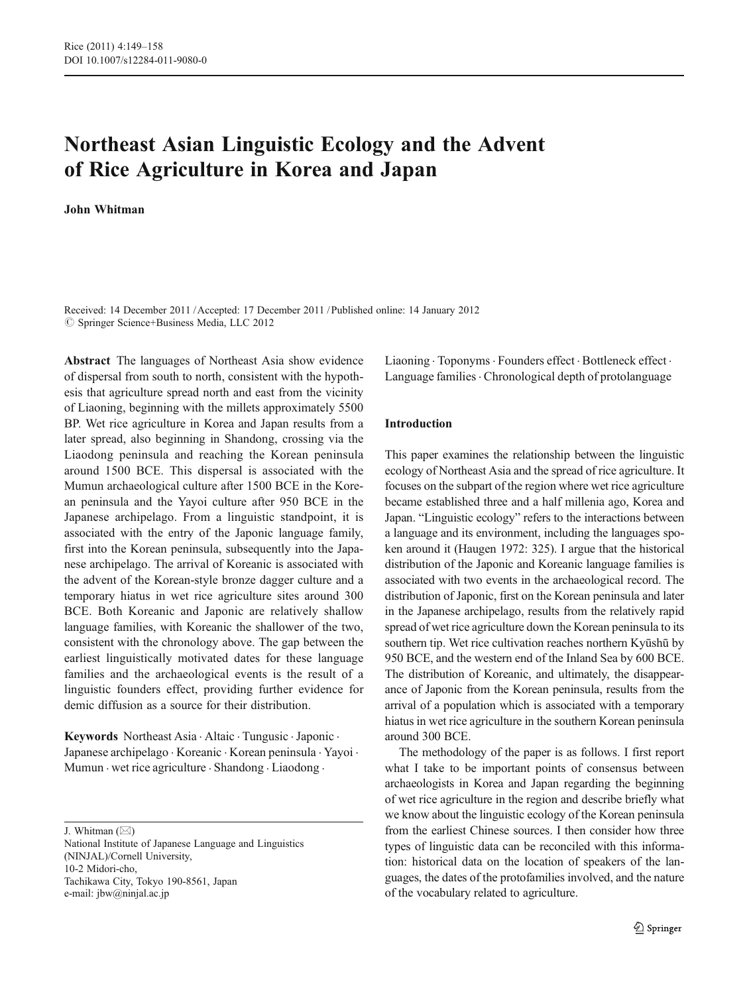# Northeast Asian Linguistic Ecology and the Advent of Rice Agriculture in Korea and Japan

John Whitman

Received: 14 December 2011 /Accepted: 17 December 2011 / Published online: 14 January 2012  $©$  Springer Science+Business Media, LLC 2012

Abstract The languages of Northeast Asia show evidence of dispersal from south to north, consistent with the hypothesis that agriculture spread north and east from the vicinity of Liaoning, beginning with the millets approximately 5500 BP. Wet rice agriculture in Korea and Japan results from a later spread, also beginning in Shandong, crossing via the Liaodong peninsula and reaching the Korean peninsula around 1500 BCE. This dispersal is associated with the Mumun archaeological culture after 1500 BCE in the Korean peninsula and the Yayoi culture after 950 BCE in the Japanese archipelago. From a linguistic standpoint, it is associated with the entry of the Japonic language family, first into the Korean peninsula, subsequently into the Japanese archipelago. The arrival of Koreanic is associated with the advent of the Korean-style bronze dagger culture and a temporary hiatus in wet rice agriculture sites around 300 BCE. Both Koreanic and Japonic are relatively shallow language families, with Koreanic the shallower of the two, consistent with the chronology above. The gap between the earliest linguistically motivated dates for these language families and the archaeological events is the result of a linguistic founders effect, providing further evidence for demic diffusion as a source for their distribution.

Keywords Northeast Asia . Altaic . Tungusic . Japonic . Japanese archipelago · Koreanic · Korean peninsula · Yayoi · Mumun  $\cdot$  wet rice agriculture  $\cdot$  Shandong  $\cdot$  Liaodong  $\cdot$ 

J. Whitman  $(\boxtimes)$ 

National Institute of Japanese Language and Linguistics (NINJAL)/Cornell University, 10-2 Midori-cho, Tachikawa City, Tokyo 190-8561, Japan e-mail: jbw@ninjal.ac.jp

Liaoning . Toponyms. Founders effect . Bottleneck effect . Language families · Chronological depth of protolanguage

# Introduction

This paper examines the relationship between the linguistic ecology of Northeast Asia and the spread of rice agriculture. It focuses on the subpart of the region where wet rice agriculture became established three and a half millenia ago, Korea and Japan. "Linguistic ecology" refers to the interactions between a language and its environment, including the languages spoken around it (Haugen 1972: 325). I argue that the historical distribution of the Japonic and Koreanic language families is associated with two events in the archaeological record. The distribution of Japonic, first on the Korean peninsula and later in the Japanese archipelago, results from the relatively rapid spread of wet rice agriculture down the Korean peninsula to its southern tip. Wet rice cultivation reaches northern Kyūshū by 950 BCE, and the western end of the Inland Sea by 600 BCE. The distribution of Koreanic, and ultimately, the disappearance of Japonic from the Korean peninsula, results from the arrival of a population which is associated with a temporary hiatus in wet rice agriculture in the southern Korean peninsula around 300 BCE.

The methodology of the paper is as follows. I first report what I take to be important points of consensus between archaeologists in Korea and Japan regarding the beginning of wet rice agriculture in the region and describe briefly what we know about the linguistic ecology of the Korean peninsula from the earliest Chinese sources. I then consider how three types of linguistic data can be reconciled with this information: historical data on the location of speakers of the languages, the dates of the protofamilies involved, and the nature of the vocabulary related to agriculture.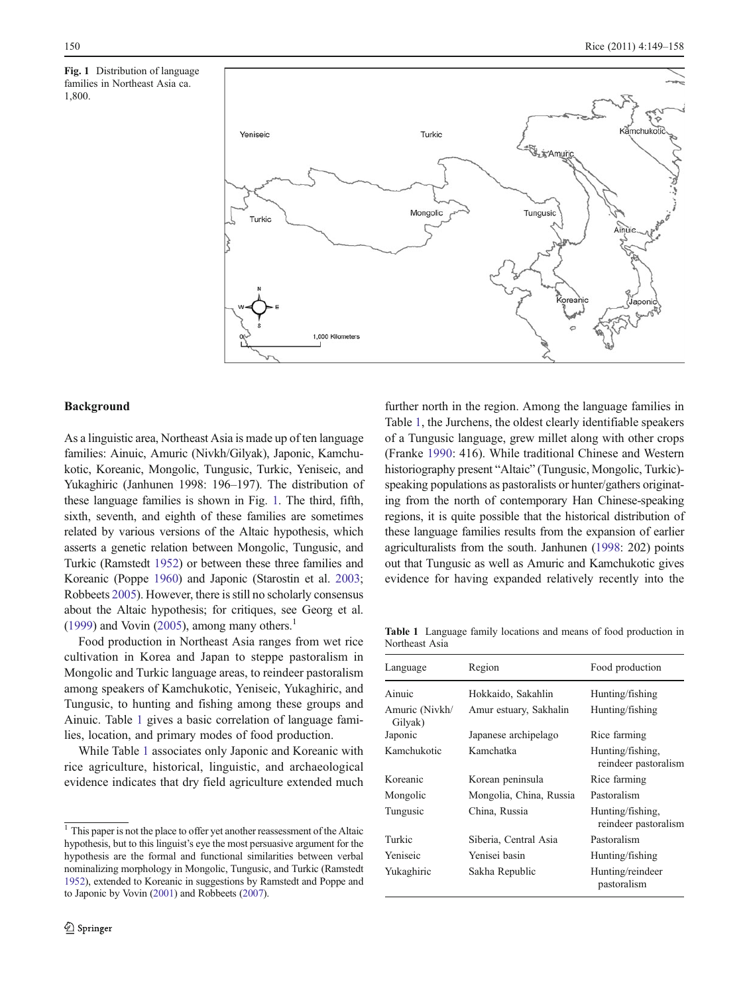Fig. 1 Distribution of language families in Northeast Asia ca. 1,800.



#### Background

As a linguistic area, Northeast Asia is made up of ten language families: Ainuic, Amuric (Nivkh/Gilyak), Japonic, Kamchukotic, Koreanic, Mongolic, Tungusic, Turkic, Yeniseic, and Yukaghiric (Janhunen 1998: 196–197). The distribution of these language families is shown in Fig. 1. The third, fifth, sixth, seventh, and eighth of these families are sometimes related by various versions of the Altaic hypothesis, which asserts a genetic relation between Mongolic, Tungusic, and Turkic (Ramstedt [1952](#page-8-0)) or between these three families and Koreanic (Poppe [1960\)](#page-8-0) and Japonic (Starostin et al. [2003](#page-9-0); Robbeets [2005\)](#page-9-0). However, there is still no scholarly consensus about the Altaic hypothesis; for critiques, see Georg et al. [\(1999\)](#page-8-0) and Vovin [\(2005\)](#page-9-0), among many others.<sup>1</sup>

Food production in Northeast Asia ranges from wet rice cultivation in Korea and Japan to steppe pastoralism in Mongolic and Turkic language areas, to reindeer pastoralism among speakers of Kamchukotic, Yeniseic, Yukaghiric, and Tungusic, to hunting and fishing among these groups and Ainuic. Table 1 gives a basic correlation of language families, location, and primary modes of food production.

While Table 1 associates only Japonic and Koreanic with rice agriculture, historical, linguistic, and archaeological evidence indicates that dry field agriculture extended much

further north in the region. Among the language families in Table 1, the Jurchens, the oldest clearly identifiable speakers of a Tungusic language, grew millet along with other crops (Franke [1990:](#page-8-0) 416). While traditional Chinese and Western historiography present "Altaic" (Tungusic, Mongolic, Turkic) speaking populations as pastoralists or hunter/gathers originating from the north of contemporary Han Chinese-speaking regions, it is quite possible that the historical distribution of these language families results from the expansion of earlier agriculturalists from the south. Janhunen ([1998](#page-8-0): 202) points out that Tungusic as well as Amuric and Kamchukotic gives evidence for having expanded relatively recently into the

Table 1 Language family locations and means of food production in Northeast Asia

| Language                  | Region                  | Food production                          |
|---------------------------|-------------------------|------------------------------------------|
| Aimuic                    | Hokkaido, Sakahlin      | Hunting/fishing                          |
| Amuric (Nivkh/<br>Gilyak) | Amur estuary, Sakhalin  | Hunting/fishing                          |
| Japonic                   | Japanese archipelago    | Rice farming                             |
| Kamchukotic               | Kamchatka               | Hunting/fishing.<br>reindeer pastoralism |
| Koreanic                  | Korean peninsula        | Rice farming                             |
| Mongolic                  | Mongolia, China, Russia | Pastoralism                              |
| Tungusic                  | China, Russia           | Hunting/fishing,<br>reindeer pastoralism |
| Turkic                    | Siberia, Central Asia   | Pastoralism                              |
| Yeniseic                  | Yenisei basin           | Hunting/fishing                          |
| Yukaghiric                | Sakha Republic          | Hunting/reindeer<br>pastoralism          |

 $\overline{1}$  This paper is not the place to offer yet another reassessment of the Altaic hypothesis, but to this linguist's eye the most persuasive argument for the hypothesis are the formal and functional similarities between verbal nominalizing morphology in Mongolic, Tungusic, and Turkic (Ramstedt [1952\)](#page-8-0), extended to Koreanic in suggestions by Ramstedt and Poppe and to Japonic by Vovin [\(2001](#page-9-0)) and Robbeets [\(2007\)](#page-9-0).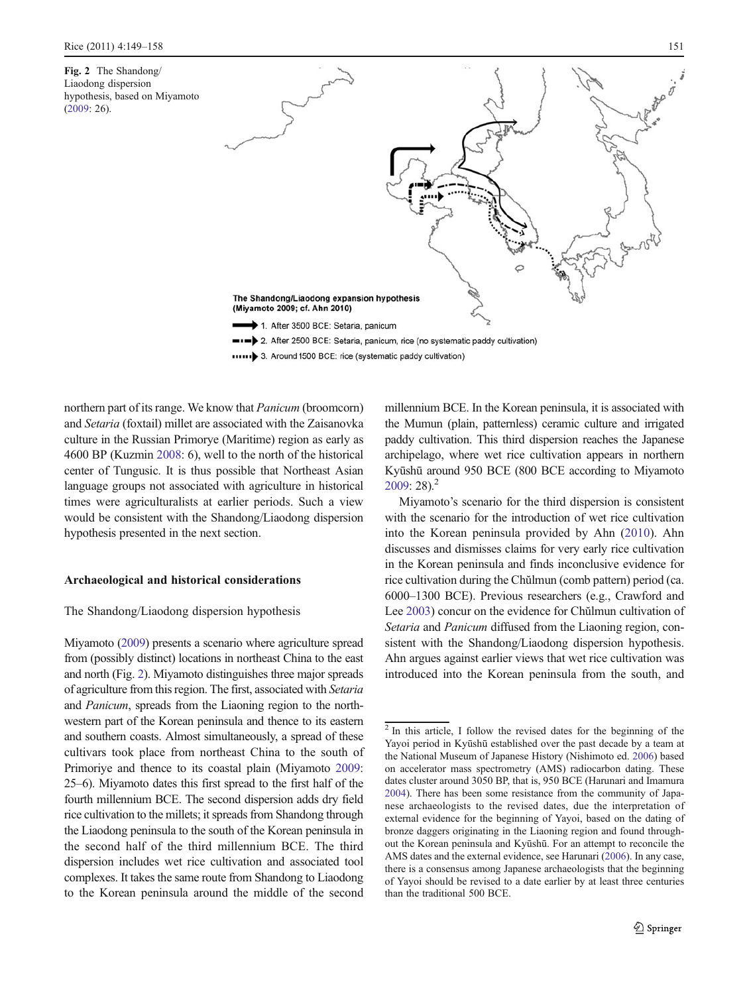<span id="page-2-0"></span>Fig. 2 The Shandong/ Liaodong dispersion hypothesis, based on Miyamoto ([2009:](#page-8-0) 26).



11111) 3. Around 1500 BCE: rice (systematic paddy cultivation)

northern part of its range. We know that Panicum (broomcorn) and Setaria (foxtail) millet are associated with the Zaisanovka culture in the Russian Primorye (Maritime) region as early as 4600 BP (Kuzmin [2008](#page-8-0): 6), well to the north of the historical center of Tungusic. It is thus possible that Northeast Asian language groups not associated with agriculture in historical times were agriculturalists at earlier periods. Such a view would be consistent with the Shandong/Liaodong dispersion hypothesis presented in the next section.

### Archaeological and historical considerations

The Shandong/Liaodong dispersion hypothesis

Miyamoto [\(2009\)](#page-8-0) presents a scenario where agriculture spread from (possibly distinct) locations in northeast China to the east and north (Fig. 2). Miyamoto distinguishes three major spreads of agriculture from this region. The first, associated with Setaria and Panicum, spreads from the Liaoning region to the northwestern part of the Korean peninsula and thence to its eastern and southern coasts. Almost simultaneously, a spread of these cultivars took place from northeast China to the south of Primoriye and thence to its coastal plain (Miyamoto [2009](#page-8-0): 25–6). Miyamoto dates this first spread to the first half of the fourth millennium BCE. The second dispersion adds dry field rice cultivation to the millets; it spreads from Shandong through the Liaodong peninsula to the south of the Korean peninsula in the second half of the third millennium BCE. The third dispersion includes wet rice cultivation and associated tool complexes. It takes the same route from Shandong to Liaodong to the Korean peninsula around the middle of the second

millennium BCE. In the Korean peninsula, it is associated with the Mumun (plain, patternless) ceramic culture and irrigated paddy cultivation. This third dispersion reaches the Japanese archipelago, where wet rice cultivation appears in northern Kyūshū around 950 BCE (800 BCE according to Miyamoto  $2009: 28$  $2009: 28$ <sup>2</sup>

Miyamoto's scenario for the third dispersion is consistent with the scenario for the introduction of wet rice cultivation into the Korean peninsula provided by Ahn ([2010\)](#page-8-0). Ahn discusses and dismisses claims for very early rice cultivation in the Korean peninsula and finds inconclusive evidence for rice cultivation during the Chŭlmun (comb pattern) period (ca. 6000–1300 BCE). Previous researchers (e.g., Crawford and Lee [2003\)](#page-8-0) concur on the evidence for Chŭlmun cultivation of Setaria and Panicum diffused from the Liaoning region, consistent with the Shandong/Liaodong dispersion hypothesis. Ahn argues against earlier views that wet rice cultivation was introduced into the Korean peninsula from the south, and

 $\sqrt{2}$  In this article, I follow the revised dates for the beginning of the Yayoi period in Kyūshū established over the past decade by a team at the National Museum of Japanese History (Nishimoto ed. [2006](#page-8-0)) based on accelerator mass spectrometry (AMS) radiocarbon dating. These dates cluster around 3050 BP, that is, 950 BCE (Harunari and Imamura [2004](#page-8-0)). There has been some resistance from the community of Japanese archaeologists to the revised dates, due the interpretation of external evidence for the beginning of Yayoi, based on the dating of bronze daggers originating in the Liaoning region and found throughout the Korean peninsula and Kyūshū. For an attempt to reconcile the AMS dates and the external evidence, see Harunari [\(2006](#page-8-0)). In any case, there is a consensus among Japanese archaeologists that the beginning of Yayoi should be revised to a date earlier by at least three centuries than the traditional 500 BCE.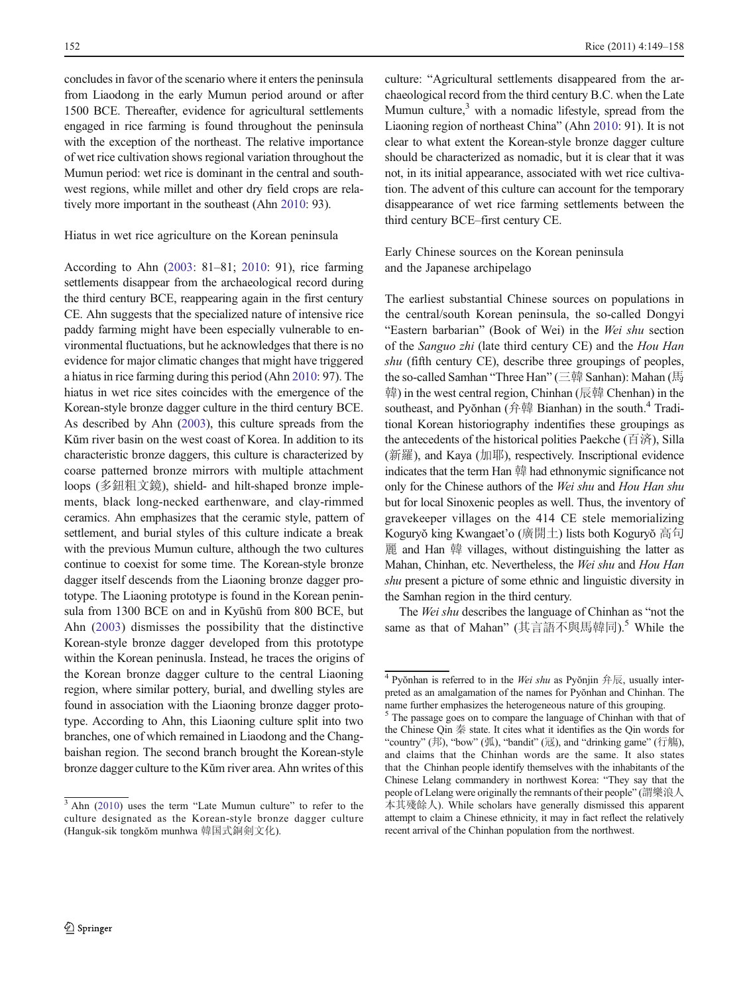<span id="page-3-0"></span>concludes in favor of the scenario where it enters the peninsula from Liaodong in the early Mumun period around or after 1500 BCE. Thereafter, evidence for agricultural settlements engaged in rice farming is found throughout the peninsula with the exception of the northeast. The relative importance of wet rice cultivation shows regional variation throughout the Mumun period: wet rice is dominant in the central and southwest regions, while millet and other dry field crops are relatively more important in the southeast (Ahn [2010:](#page-8-0) 93).

Hiatus in wet rice agriculture on the Korean peninsula

According to Ahn ([2003](#page-8-0): 81–81; [2010](#page-8-0): 91), rice farming settlements disappear from the archaeological record during the third century BCE, reappearing again in the first century CE. Ahn suggests that the specialized nature of intensive rice paddy farming might have been especially vulnerable to environmental fluctuations, but he acknowledges that there is no evidence for major climatic changes that might have triggered a hiatus in rice farming during this period (Ahn [2010:](#page-8-0) 97). The hiatus in wet rice sites coincides with the emergence of the Korean-style bronze dagger culture in the third century BCE. As described by Ahn [\(2003\)](#page-8-0), this culture spreads from the Kŭm river basin on the west coast of Korea. In addition to its characteristic bronze daggers, this culture is characterized by coarse patterned bronze mirrors with multiple attachment loops (多鈕粗文鏡), shield- and hilt-shaped bronze implements, black long-necked earthenware, and clay-rimmed ceramics. Ahn emphasizes that the ceramic style, pattern of settlement, and burial styles of this culture indicate a break with the previous Mumun culture, although the two cultures continue to coexist for some time. The Korean-style bronze dagger itself descends from the Liaoning bronze dagger prototype. The Liaoning prototype is found in the Korean peninsula from 1300 BCE on and in Kyūshū from 800 BCE, but Ahn [\(2003\)](#page-8-0) dismisses the possibility that the distinctive Korean-style bronze dagger developed from this prototype within the Korean peninusla. Instead, he traces the origins of the Korean bronze dagger culture to the central Liaoning region, where similar pottery, burial, and dwelling styles are found in association with the Liaoning bronze dagger prototype. According to Ahn, this Liaoning culture split into two branches, one of which remained in Liaodong and the Changbaishan region. The second branch brought the Korean-style bronze dagger culture to the Kŭm river area. Ahn writes of this

culture: "Agricultural settlements disappeared from the archaeological record from the third century B.C. when the Late Mumun culture, $3$  with a nomadic lifestyle, spread from the Liaoning region of northeast China" (Ahn [2010:](#page-8-0) 91). It is not clear to what extent the Korean-style bronze dagger culture should be characterized as nomadic, but it is clear that it was not, in its initial appearance, associated with wet rice cultivation. The advent of this culture can account for the temporary disappearance of wet rice farming settlements between the third century BCE–first century CE.

Early Chinese sources on the Korean peninsula and the Japanese archipelago

The earliest substantial Chinese sources on populations in the central/south Korean peninsula, the so-called Dongyi "Eastern barbarian" (Book of Wei) in the Wei shu section of the Sanguo zhi (late third century CE) and the Hou Han shu (fifth century CE), describe three groupings of peoples, the so-called Samhan "Three Han" (三韓 Sanhan): Mahan (馬 韓) in the west central region, Chinhan (辰韓 Chenhan) in the southeast, and Pyŏnhan (弁韓 Bianhan) in the south.4 Traditional Korean historiography indentifies these groupings as the antecedents of the historical polities Paekche (百済), Silla (新羅), and Kaya (加耶), respectively. Inscriptional evidence indicates that the term Han 韓 had ethnonymic significance not only for the Chinese authors of the Wei shu and Hou Han shu but for local Sinoxenic peoples as well. Thus, the inventory of gravekeeper villages on the 414 CE stele memorializing Koguryŏ king Kwangaet'o (廣開土) lists both Koguryŏ 高句 麗 and Han 韓 villages, without distinguishing the latter as Mahan, Chinhan, etc. Nevertheless, the Wei shu and Hou Han shu present a picture of some ethnic and linguistic diversity in the Samhan region in the third century.

The Wei shu describes the language of Chinhan as "not the same as that of Mahan" (其言語不與馬韓同).<sup>5</sup> While the

<sup>&</sup>lt;sup>3</sup> Ahn ([2010](#page-8-0)) uses the term "Late Mumun culture" to refer to the culture designated as the Korean-style bronze dagger culture (Hanguk-sik tongkŏm munhwa 韓国式銅剣文化).

<sup>&</sup>lt;sup>4</sup> Pyŏnhan is referred to in the Wei shu as Pyŏnjin  $\hat{A}$ <sub>K</sub>, usually interpreted as an amalgamation of the names for Pyŏnhan and Chinhan. The name further emphasizes the heterogeneous nature of this grouping.

<sup>5</sup> The passage goes on to compare the language of Chinhan with that of the Chinese Qin 秦 state. It cites what it identifies as the Qin words for "country" (邦), "bow" (弧), "bandit" (冦), and "drinking game" (行觴), and claims that the Chinhan words are the same. It also states that the Chinhan people identify themselves with the inhabitants of the Chinese Lelang commandery in northwest Korea: "They say that the people of Lelang were originally the remnants of their people" (謂樂浪人 本其殘餘人). While scholars have generally dismissed this apparent attempt to claim a Chinese ethnicity, it may in fact reflect the relatively recent arrival of the Chinhan population from the northwest.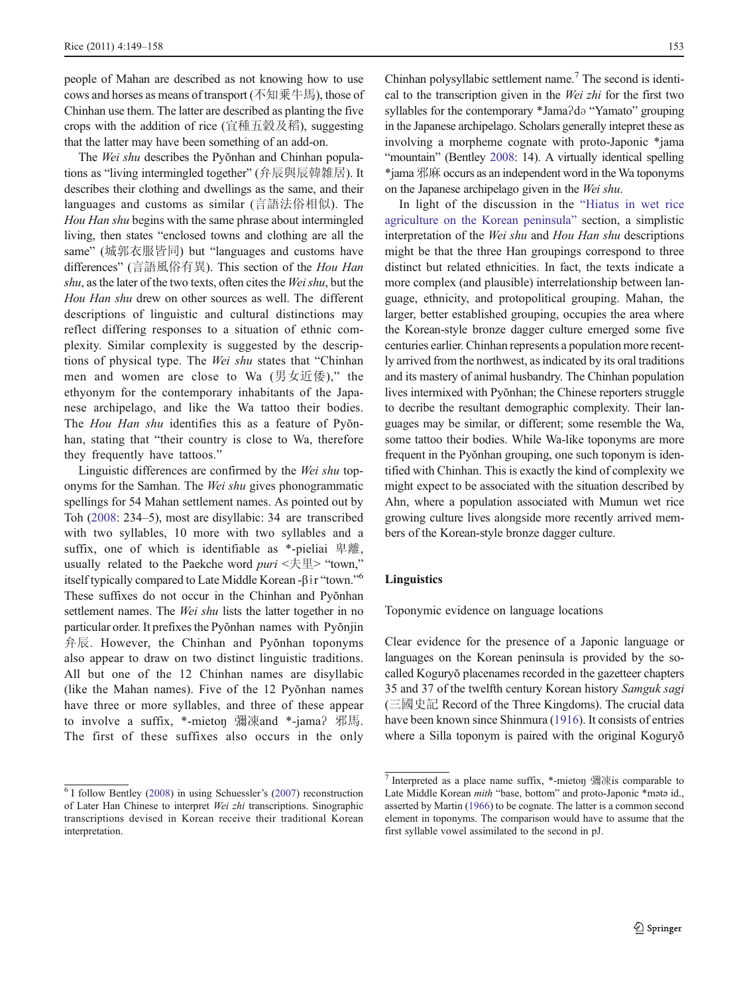people of Mahan are described as not knowing how to use cows and horses as means of transport (不知乗牛馬), those of Chinhan use them. The latter are described as planting the five crops with the addition of rice (宜種五穀及稻), suggesting that the latter may have been something of an add-on.

The Wei shu describes the Pyŏnhan and Chinhan populations as "living intermingled together" (弁辰與辰韓雑居). It describes their clothing and dwellings as the same, and their languages and customs as similar (言語法俗相似). The Hou Han shu begins with the same phrase about intermingled living, then states "enclosed towns and clothing are all the same" (城郭衣服皆同) but "languages and customs have differences" (言語風俗有異). This section of the *Hou Han* shu, as the later of the two texts, often cites the Wei shu, but the Hou Han shu drew on other sources as well. The different descriptions of linguistic and cultural distinctions may reflect differing responses to a situation of ethnic complexity. Similar complexity is suggested by the descriptions of physical type. The Wei shu states that "Chinhan men and women are close to Wa  $(\frac{\text{H}}{2}\times\text{H})$ ; the ethyonym for the contemporary inhabitants of the Japanese archipelago, and like the Wa tattoo their bodies. The Hou Han shu identifies this as a feature of Pyŏnhan, stating that "their country is close to Wa, therefore they frequently have tattoos."

Linguistic differences are confirmed by the Wei shu toponyms for the Samhan. The Wei shu gives phonogrammatic spellings for 54 Mahan settlement names. As pointed out by Toh ([2008:](#page-9-0) 234–5), most are disyllabic: 34 are transcribed with two syllables, 10 more with two syllables and a suffix, one of which is identifiable as \*-pieliai 卑離, usually related to the Paekche word  $puri < \nless \mathbb{E}$  > "town," itself typically compared to Late Middle Korean -βɨr "town." 6 These suffixes do not occur in the Chinhan and Pyŏnhan settlement names. The *Wei shu* lists the latter together in no particular order. It prefixes the Pyŏnhan names with Pyŏnjin 弁辰. However, the Chinhan and Pyŏnhan toponyms also appear to draw on two distinct linguistic traditions. All but one of the 12 Chinhan names are disyllabic (like the Mahan names). Five of the 12 Pyŏnhan names have three or more syllables, and three of these appear to involve a suffix, \*-mietoŋ 彌凍and \*-jamaʔ 邪馬. The first of these suffixes also occurs in the only

Chinhan polysyllabic settlement name.<sup>7</sup> The second is identical to the transcription given in the Wei zhi for the first two syllables for the contemporary \*Jama?də "Yamato" grouping in the Japanese archipelago. Scholars generally intepret these as involving a morpheme cognate with proto-Japonic \*jama "mountain" (Bentley [2008](#page-8-0): 14). A virtually identical spelling \*jama 邪麻 occurs as an independent word in the Wa toponyms on the Japanese archipelago given in the Wei shu.

In light of the discussion in the "[Hiatus in wet rice](#page-3-0) [agriculture on the Korean peninsula](#page-3-0)" section, a simplistic interpretation of the Wei shu and Hou Han shu descriptions might be that the three Han groupings correspond to three distinct but related ethnicities. In fact, the texts indicate a more complex (and plausible) interrelationship between language, ethnicity, and protopolitical grouping. Mahan, the larger, better established grouping, occupies the area where the Korean-style bronze dagger culture emerged some five centuries earlier. Chinhan represents a population more recently arrived from the northwest, as indicated by its oral traditions and its mastery of animal husbandry. The Chinhan population lives intermixed with Pyŏnhan; the Chinese reporters struggle to decribe the resultant demographic complexity. Their languages may be similar, or different; some resemble the Wa, some tattoo their bodies. While Wa-like toponyms are more frequent in the Pyŏnhan grouping, one such toponym is identified with Chinhan. This is exactly the kind of complexity we might expect to be associated with the situation described by Ahn, where a population associated with Mumun wet rice growing culture lives alongside more recently arrived members of the Korean-style bronze dagger culture.

# **Linguistics**

Toponymic evidence on language locations

Clear evidence for the presence of a Japonic language or languages on the Korean peninsula is provided by the socalled Koguryŏ placenames recorded in the gazetteer chapters 35 and 37 of the twelfth century Korean history Samguk sagi (三國史記 Record of the Three Kingdoms). The crucial data have been known since Shinmura ([1916](#page-9-0)). It consists of entries where a Silla toponym is paired with the original Koguryŏ

 $6$  I follow Bentley ([2008](#page-8-0)) in using Schuessler's ([2007\)](#page-9-0) reconstruction of Later Han Chinese to interpret Wei zhi transcriptions. Sinographic transcriptions devised in Korean receive their traditional Korean interpretation.

 $\sqrt{7}$  Interpreted as a place name suffix, \*-mieton 彌凍is comparable to Late Middle Korean mith "base, bottom" and proto-Japonic \*mətə id., asserted by Martin ([1966\)](#page-8-0) to be cognate. The latter is a common second element in toponyms. The comparison would have to assume that the first syllable vowel assimilated to the second in pJ.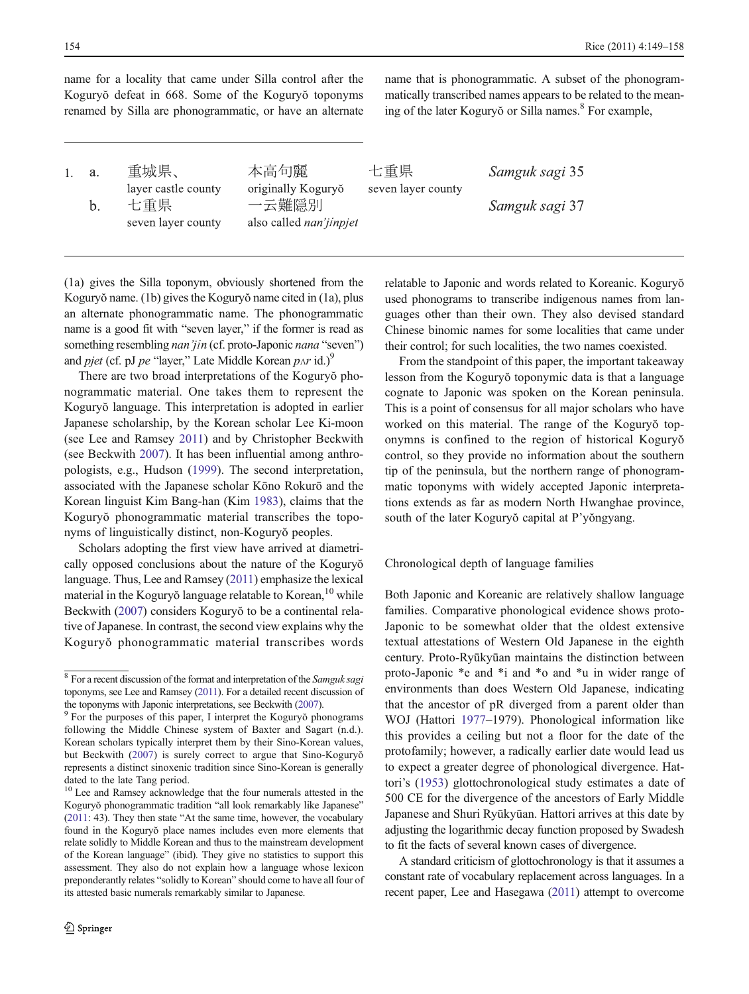name for a locality that came under Silla control after the Koguryŏ defeat in 668. Some of the Koguryŏ toponyms renamed by Silla are phonogrammatic, or have an alternate

name that is phonogrammatic. A subset of the phonogrammatically transcribed names appears to be related to the meaning of the later Koguryŏ or Silla names. $8$  For example,

| a. | 重城県、                | 本高句麗                           | 七重県                | Samguk sagi 35 |
|----|---------------------|--------------------------------|--------------------|----------------|
|    | layer castle county | originally Koguryŏ             | seven layer county |                |
|    | 七重県                 | 一云難隠別                          |                    | Samguk sagi 37 |
|    | seven layer county  | also called <i>nan'jinpjet</i> |                    |                |
|    |                     |                                |                    |                |

(1a) gives the Silla toponym, obviously shortened from the Koguryŏ name. (1b) gives the Koguryŏ name cited in (1a), plus an alternate phonogrammatic name. The phonogrammatic name is a good fit with "seven layer," if the former is read as something resembling *nan'jin* (cf. proto-Japonic *nana* "seven") and *pjet* (cf. pJ *pe* "layer," Late Middle Korean *p* $\Lambda r$  id.)<sup>9</sup>

There are two broad interpretations of the Koguryŏ phonogrammatic material. One takes them to represent the Koguryŏ language. This interpretation is adopted in earlier Japanese scholarship, by the Korean scholar Lee Ki-moon (see Lee and Ramsey [2011](#page-8-0)) and by Christopher Beckwith (see Beckwith [2007\)](#page-8-0). It has been influential among anthropologists, e.g., Hudson ([1999\)](#page-8-0). The second interpretation, associated with the Japanese scholar Kōno Rokurō and the Korean linguist Kim Bang-han (Kim [1983\)](#page-8-0), claims that the Koguryŏ phonogrammatic material transcribes the toponyms of linguistically distinct, non-Koguryŏ peoples.

Scholars adopting the first view have arrived at diametrically opposed conclusions about the nature of the Koguryŏ language. Thus, Lee and Ramsey ([2011](#page-8-0)) emphasize the lexical material in the Koguryŏ language relatable to Korean,<sup>10</sup> while Beckwith [\(2007\)](#page-8-0) considers Koguryŏ to be a continental relative of Japanese. In contrast, the second view explains why the Koguryŏ phonogrammatic material transcribes words relatable to Japonic and words related to Koreanic. Koguryŏ used phonograms to transcribe indigenous names from languages other than their own. They also devised standard Chinese binomic names for some localities that came under their control; for such localities, the two names coexisted.

From the standpoint of this paper, the important takeaway lesson from the Koguryŏ toponymic data is that a language cognate to Japonic was spoken on the Korean peninsula. This is a point of consensus for all major scholars who have worked on this material. The range of the Koguryŏ toponymns is confined to the region of historical Koguryŏ control, so they provide no information about the southern tip of the peninsula, but the northern range of phonogrammatic toponyms with widely accepted Japonic interpretations extends as far as modern North Hwanghae province, south of the later Koguryŏ capital at P'yŏngyang.

# Chronological depth of language families

Both Japonic and Koreanic are relatively shallow language families. Comparative phonological evidence shows proto-Japonic to be somewhat older that the oldest extensive textual attestations of Western Old Japanese in the eighth century. Proto-Ryūkyūan maintains the distinction between proto-Japonic \*e and \*i and \*o and \*u in wider range of environments than does Western Old Japanese, indicating that the ancestor of pR diverged from a parent older than WOJ (Hattori [1977](#page-8-0)–1979). Phonological information like this provides a ceiling but not a floor for the date of the protofamily; however, a radically earlier date would lead us to expect a greater degree of phonological divergence. Hattori's [\(1953](#page-8-0)) glottochronological study estimates a date of 500 CE for the divergence of the ancestors of Early Middle Japanese and Shuri Ryūkyūan. Hattori arrives at this date by adjusting the logarithmic decay function proposed by Swadesh to fit the facts of several known cases of divergence.

A standard criticism of glottochronology is that it assumes a constant rate of vocabulary replacement across languages. In a recent paper, Lee and Hasegawa [\(2011\)](#page-8-0) attempt to overcome

 $8 \overline{8}$  For a recent discussion of the format and interpretation of the *Samguk sagi* toponyms, see Lee and Ramsey [\(2011](#page-8-0)). For a detailed recent discussion of the toponyms with Japonic interpretations, see Beckwith [\(2007](#page-8-0)).

<sup>9</sup> For the purposes of this paper, I interpret the Koguryŏ phonograms following the Middle Chinese system of Baxter and Sagart (n.d.). Korean scholars typically interpret them by their Sino-Korean values, but Beckwith [\(2007](#page-8-0)) is surely correct to argue that Sino-Koguryŏ represents a distinct sinoxenic tradition since Sino-Korean is generally dated to the late Tang period.

<sup>&</sup>lt;sup>10</sup> Lee and Ramsey acknowledge that the four numerals attested in the Koguryŏ phonogrammatic tradition "all look remarkably like Japanese" ([2011:](#page-8-0) 43). They then state "At the same time, however, the vocabulary found in the Koguryŏ place names includes even more elements that relate solidly to Middle Korean and thus to the mainstream development of the Korean language" (ibid). They give no statistics to support this assessment. They also do not explain how a language whose lexicon preponderantly relates "solidly to Korean" should come to have all four of its attested basic numerals remarkably similar to Japanese.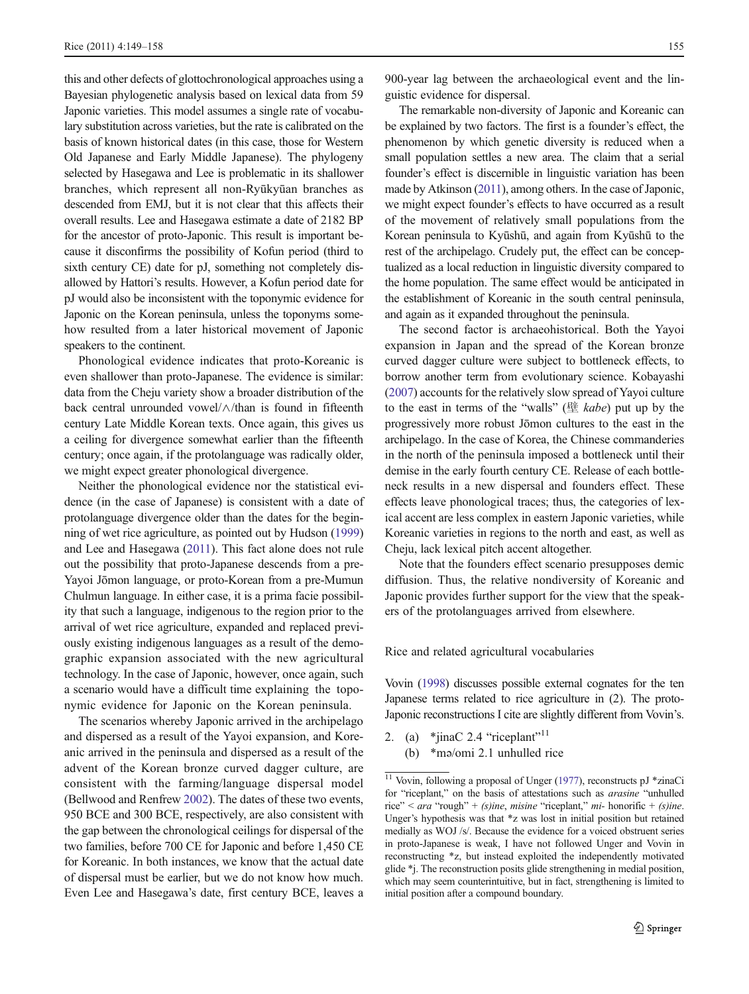this and other defects of glottochronological approaches using a Bayesian phylogenetic analysis based on lexical data from 59 Japonic varieties. This model assumes a single rate of vocabulary substitution across varieties, but the rate is calibrated on the basis of known historical dates (in this case, those for Western Old Japanese and Early Middle Japanese). The phylogeny selected by Hasegawa and Lee is problematic in its shallower branches, which represent all non-Ryūkyūan branches as descended from EMJ, but it is not clear that this affects their overall results. Lee and Hasegawa estimate a date of 2182 BP for the ancestor of proto-Japonic. This result is important because it disconfirms the possibility of Kofun period (third to sixth century CE) date for pJ, something not completely disallowed by Hattori's results. However, a Kofun period date for pJ would also be inconsistent with the toponymic evidence for Japonic on the Korean peninsula, unless the toponyms somehow resulted from a later historical movement of Japonic speakers to the continent.

Phonological evidence indicates that proto-Koreanic is even shallower than proto-Japanese. The evidence is similar: data from the Cheju variety show a broader distribution of the back central unrounded vowel/ $\wedge$ /than is found in fifteenth century Late Middle Korean texts. Once again, this gives us a ceiling for divergence somewhat earlier than the fifteenth century; once again, if the protolanguage was radically older, we might expect greater phonological divergence.

Neither the phonological evidence nor the statistical evidence (in the case of Japanese) is consistent with a date of protolanguage divergence older than the dates for the beginning of wet rice agriculture, as pointed out by Hudson [\(1999\)](#page-8-0) and Lee and Hasegawa ([2011\)](#page-8-0). This fact alone does not rule out the possibility that proto-Japanese descends from a pre-Yayoi Jōmon language, or proto-Korean from a pre-Mumun Chulmun language. In either case, it is a prima facie possibility that such a language, indigenous to the region prior to the arrival of wet rice agriculture, expanded and replaced previously existing indigenous languages as a result of the demographic expansion associated with the new agricultural technology. In the case of Japonic, however, once again, such a scenario would have a difficult time explaining the toponymic evidence for Japonic on the Korean peninsula.

The scenarios whereby Japonic arrived in the archipelago and dispersed as a result of the Yayoi expansion, and Koreanic arrived in the peninsula and dispersed as a result of the advent of the Korean bronze curved dagger culture, are consistent with the farming/language dispersal model (Bellwood and Renfrew [2002\)](#page-8-0). The dates of these two events, 950 BCE and 300 BCE, respectively, are also consistent with the gap between the chronological ceilings for dispersal of the two families, before 700 CE for Japonic and before 1,450 CE for Koreanic. In both instances, we know that the actual date of dispersal must be earlier, but we do not know how much. Even Lee and Hasegawa's date, first century BCE, leaves a 900-year lag between the archaeological event and the linguistic evidence for dispersal.

The remarkable non-diversity of Japonic and Koreanic can be explained by two factors. The first is a founder's effect, the phenomenon by which genetic diversity is reduced when a small population settles a new area. The claim that a serial founder's effect is discernible in linguistic variation has been made by Atkinson [\(2011](#page-8-0)), among others. In the case of Japonic, we might expect founder's effects to have occurred as a result of the movement of relatively small populations from the Korean peninsula to Kyūshū, and again from Kyūshū to the rest of the archipelago. Crudely put, the effect can be conceptualized as a local reduction in linguistic diversity compared to the home population. The same effect would be anticipated in the establishment of Koreanic in the south central peninsula, and again as it expanded throughout the peninsula.

The second factor is archaeohistorical. Both the Yayoi expansion in Japan and the spread of the Korean bronze curved dagger culture were subject to bottleneck effects, to borrow another term from evolutionary science. Kobayashi [\(2007\)](#page-8-0) accounts for the relatively slow spread of Yayoi culture to the east in terms of the "walls" ( $\frac{d}{dx}$  kabe) put up by the progressively more robust Jōmon cultures to the east in the archipelago. In the case of Korea, the Chinese commanderies in the north of the peninsula imposed a bottleneck until their demise in the early fourth century CE. Release of each bottleneck results in a new dispersal and founders effect. These effects leave phonological traces; thus, the categories of lexical accent are less complex in eastern Japonic varieties, while Koreanic varieties in regions to the north and east, as well as Cheju, lack lexical pitch accent altogether.

Note that the founders effect scenario presupposes demic diffusion. Thus, the relative nondiversity of Koreanic and Japonic provides further support for the view that the speakers of the protolanguages arrived from elsewhere.

Rice and related agricultural vocabularies

Vovin [\(1998](#page-9-0)) discusses possible external cognates for the ten Japanese terms related to rice agriculture in (2). The proto-Japonic reconstructions I cite are slightly different from Vovin's.

- 2. (a) \*jinaC 2.4 "riceplant"<sup>11</sup>
	- (b) \*mə/omi 2.1 unhulled rice

 $\frac{11}{11}$  Vovin, following a proposal of Unger ([1977](#page-9-0)), reconstructs pJ \*zinaCi for "riceplant," on the basis of attestations such as arasine "unhulled rice" < ara "rough" + (s)ine, misine "riceplant," mi- honorific + (s)ine. Unger's hypothesis was that \*z was lost in initial position but retained medially as WOJ /s/. Because the evidence for a voiced obstruent series in proto-Japanese is weak, I have not followed Unger and Vovin in reconstructing \*z, but instead exploited the independently motivated glide \*j. The reconstruction posits glide strengthening in medial position, which may seem counterintuitive, but in fact, strengthening is limited to initial position after a compound boundary.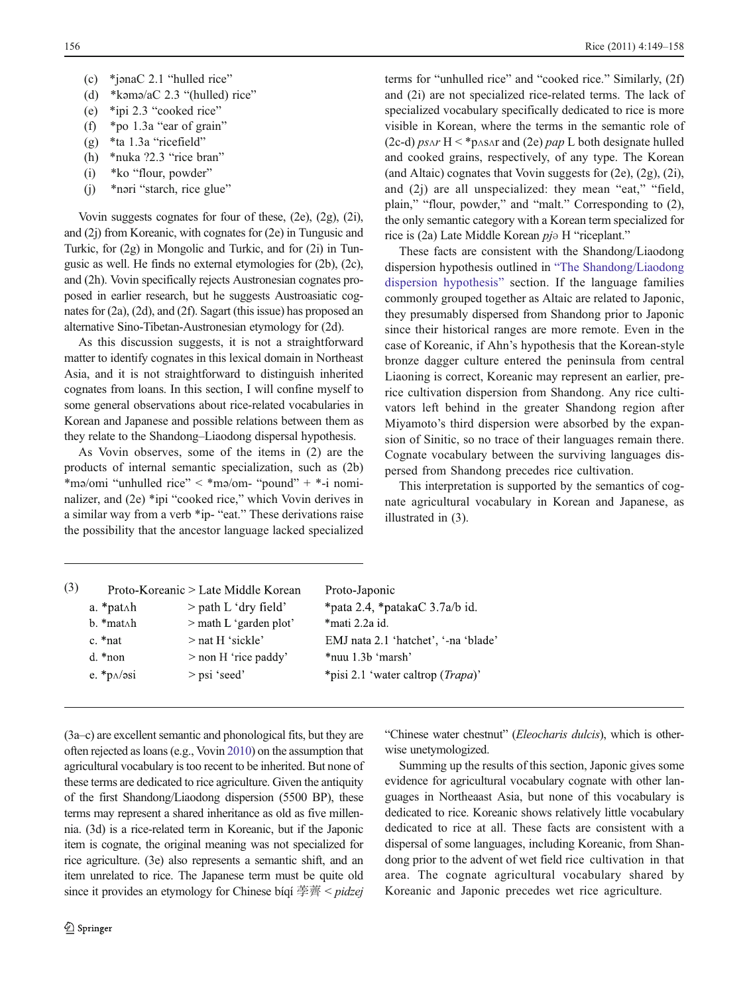- (c) \*jənaC 2.1 "hulled rice"
- (d) \*kəmə/aC 2.3 "(hulled) rice"
- (e) \*ipi 2.3 "cooked rice"
- (f) \*po 1.3a "ear of grain"
- (g) \*ta 1.3a "ricefield"
- (h) \*nuka ?2.3 "rice bran"
- (i) \*ko "flour, powder"
- (j) \*nəri "starch, rice glue"

Vovin suggests cognates for four of these, (2e), (2g), (2i), and (2j) from Koreanic, with cognates for (2e) in Tungusic and Turkic, for (2g) in Mongolic and Turkic, and for (2i) in Tungusic as well. He finds no external etymologies for (2b), (2c), and (2h). Vovin specifically rejects Austronesian cognates proposed in earlier research, but he suggests Austroasiatic cognates for (2a), (2d), and (2f). Sagart (this issue) has proposed an alternative Sino-Tibetan-Austronesian etymology for (2d).

As this discussion suggests, it is not a straightforward matter to identify cognates in this lexical domain in Northeast Asia, and it is not straightforward to distinguish inherited cognates from loans. In this section, I will confine myself to some general observations about rice-related vocabularies in Korean and Japanese and possible relations between them as they relate to the Shandong–Liaodong dispersal hypothesis.

As Vovin observes, some of the items in (2) are the products of internal semantic specialization, such as (2b) \*mə/omi "unhulled rice" < \*mə/om- "pound" + \*-i nominalizer, and (2e) \*ipi "cooked rice," which Vovin derives in a similar way from a verb \*ip- "eat." These derivations raise the possibility that the ancestor language lacked specialized

terms for "unhulled rice" and "cooked rice." Similarly, (2f) and (2i) are not specialized rice-related terms. The lack of specialized vocabulary specifically dedicated to rice is more visible in Korean, where the terms in the semantic role of (2c-d)  $ps\Lambda r$  H < \*p $\Lambda$ s $\Lambda r$  and (2e)  $pap$  L both designate hulled and cooked grains, respectively, of any type. The Korean (and Altaic) cognates that Vovin suggests for (2e), (2g), (2i), and (2j) are all unspecialized: they mean "eat," "field, plain," "flour, powder," and "malt." Corresponding to (2), the only semantic category with a Korean term specialized for rice is (2a) Late Middle Korean pjə H "riceplant."

These facts are consistent with the Shandong/Liaodong dispersion hypothesis outlined in "[The Shandong/Liaodong](#page-2-0) [dispersion hypothesis](#page-2-0)" section. If the language families commonly grouped together as Altaic are related to Japonic, they presumably dispersed from Shandong prior to Japonic since their historical ranges are more remote. Even in the case of Koreanic, if Ahn's hypothesis that the Korean-style bronze dagger culture entered the peninsula from central Liaoning is correct, Koreanic may represent an earlier, prerice cultivation dispersion from Shandong. Any rice cultivators left behind in the greater Shandong region after Miyamoto's third dispersion were absorbed by the expansion of Sinitic, so no trace of their languages remain there. Cognate vocabulary between the surviving languages dispersed from Shandong precedes rice cultivation.

This interpretation is supported by the semantics of cognate agricultural vocabulary in Korean and Japanese, as illustrated in (3).

| (3) | Proto-Koreanic > Late Middle Korean |                        | Proto-Japonic                              |  |
|-----|-------------------------------------|------------------------|--------------------------------------------|--|
|     | a. * $path$                         | $>$ path L 'dry field' | *pata 2.4, *patakaC 3.7a/b id.             |  |
|     | $b.$ *mat $\Delta h$                | > math L 'garden plot' | *mati 2.2a id.                             |  |
|     | $c$ * nat                           | $>$ nat H 'sickle'     | EMJ nata 2.1 'hatchet', '-na 'blade'       |  |
|     | $d.$ *non                           | > non H 'rice paddy'   | *nuu 1.3b 'marsh'                          |  |
|     | e. $*_{p\Lambda/35i}$               | $>$ psi 'seed'         | *pisi 2.1 'water caltrop ( <i>Trapa</i> )' |  |
|     |                                     |                        |                                            |  |

(3a–c) are excellent semantic and phonological fits, but they are often rejected as loans (e.g., Vovin [2010\)](#page-9-0) on the assumption that agricultural vocabulary is too recent to be inherited. But none of these terms are dedicated to rice agriculture. Given the antiquity of the first Shandong/Liaodong dispersion (5500 BP), these terms may represent a shared inheritance as old as five millennia. (3d) is a rice-related term in Koreanic, but if the Japonic item is cognate, the original meaning was not specialized for rice agriculture. (3e) also represents a semantic shift, and an item unrelated to rice. The Japanese term must be quite old since it provides an etymology for Chinese bíqí  $\frac{2}{3}$   $\frac{2}{3}$   $\leq$   $pidzej$ 

"Chinese water chestnut" (*Eleocharis dulcis*), which is otherwise unetymologized.

Summing up the results of this section, Japonic gives some evidence for agricultural vocabulary cognate with other languages in Northeaast Asia, but none of this vocabulary is dedicated to rice. Koreanic shows relatively little vocabulary dedicated to rice at all. These facts are consistent with a dispersal of some languages, including Koreanic, from Shandong prior to the advent of wet field rice cultivation in that area. The cognate agricultural vocabulary shared by Koreanic and Japonic precedes wet rice agriculture.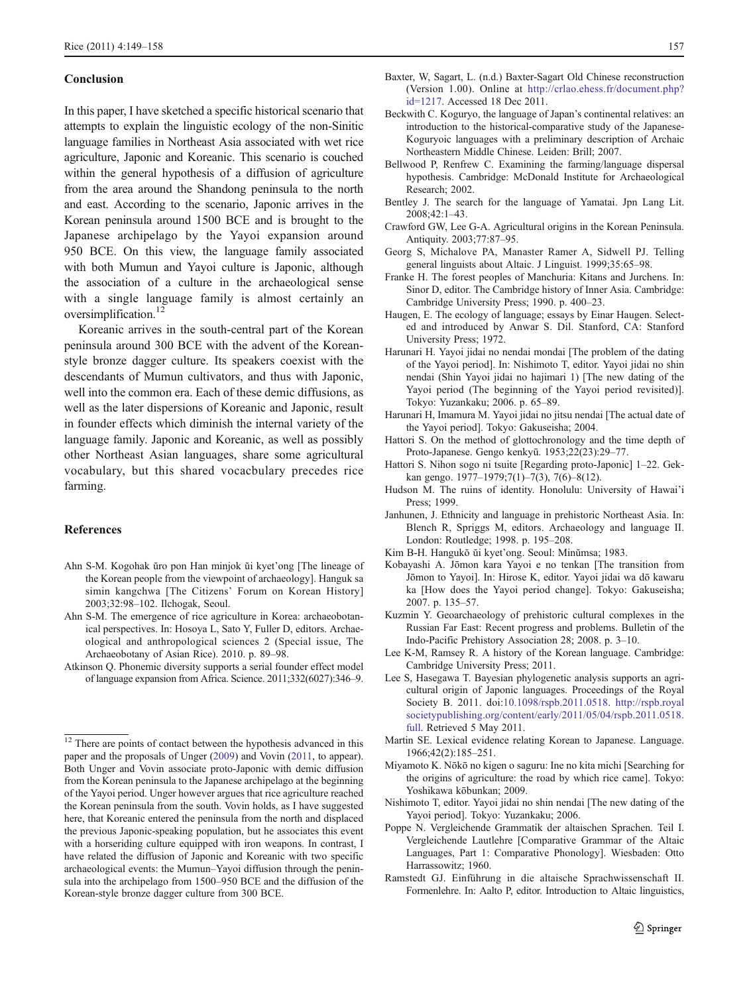#### <span id="page-8-0"></span>Conclusion

In this paper, I have sketched a specific historical scenario that attempts to explain the linguistic ecology of the non-Sinitic language families in Northeast Asia associated with wet rice agriculture, Japonic and Koreanic. This scenario is couched within the general hypothesis of a diffusion of agriculture from the area around the Shandong peninsula to the north and east. According to the scenario, Japonic arrives in the Korean peninsula around 1500 BCE and is brought to the Japanese archipelago by the Yayoi expansion around 950 BCE. On this view, the language family associated with both Mumun and Yayoi culture is Japonic, although the association of a culture in the archaeological sense with a single language family is almost certainly an oversimplification.<sup>12</sup>

Koreanic arrives in the south-central part of the Korean peninsula around 300 BCE with the advent of the Koreanstyle bronze dagger culture. Its speakers coexist with the descendants of Mumun cultivators, and thus with Japonic, well into the common era. Each of these demic diffusions, as well as the later dispersions of Koreanic and Japonic, result in founder effects which diminish the internal variety of the language family. Japonic and Koreanic, as well as possibly other Northeast Asian languages, share some agricultural vocabulary, but this shared vocacbulary precedes rice farming.

#### References

- Ahn S-M. Kogohak ŭro pon Han minjok ŭi kyet'ong [The lineage of the Korean people from the viewpoint of archaeology]. Hanguk sa simin kangchwa [The Citizens' Forum on Korean History] 2003;32:98–102. Ilchogak, Seoul.
- Ahn S-M. The emergence of rice agriculture in Korea: archaeobotanical perspectives. In: Hosoya L, Sato Y, Fuller D, editors. Archaeological and anthropological sciences 2 (Special issue, The Archaeobotany of Asian Rice). 2010. p. 89–98.
- Atkinson Q. Phonemic diversity supports a serial founder effect model of language expansion from Africa. Science. 2011;332(6027):346–9.
- Baxter, W, Sagart, L. (n.d.) Baxter-Sagart Old Chinese reconstruction (Version 1.00). Online at [http://crlao.ehess.fr/document.php?](http://crlao.ehess.fr/document.php?id=1217) [id=1217](http://crlao.ehess.fr/document.php?id=1217). Accessed 18 Dec 2011.
- Beckwith C. Koguryo, the language of Japan's continental relatives: an introduction to the historical-comparative study of the Japanese-Koguryoic languages with a preliminary description of Archaic Northeastern Middle Chinese. Leiden: Brill; 2007.
- Bellwood P, Renfrew C. Examining the farming/language dispersal hypothesis. Cambridge: McDonald Institute for Archaeological Research; 2002.
- Bentley J. The search for the language of Yamatai. Jpn Lang Lit. 2008;42:1–43.
- Crawford GW, Lee G-A. Agricultural origins in the Korean Peninsula. Antiquity. 2003;77:87–95.
- Georg S, Michalove PA, Manaster Ramer A, Sidwell PJ. Telling general linguists about Altaic. J Linguist. 1999;35:65–98.
- Franke H. The forest peoples of Manchuria: Kitans and Jurchens. In: Sinor D, editor. The Cambridge history of Inner Asia. Cambridge: Cambridge University Press; 1990. p. 400–23.
- Haugen, E. The ecology of language; essays by Einar Haugen. Selected and introduced by Anwar S. Dil. Stanford, CA: Stanford University Press; 1972.
- Harunari H. Yayoi jidai no nendai mondai [The problem of the dating of the Yayoi period]. In: Nishimoto T, editor. Yayoi jidai no shin nendai (Shin Yayoi jidai no hajimari 1) [The new dating of the Yayoi period (The beginning of the Yayoi period revisited)]. Tokyo: Yuzankaku; 2006. p. 65–89.
- Harunari H, Imamura M. Yayoi jidai no jitsu nendai [The actual date of the Yayoi period]. Tokyo: Gakuseisha; 2004.
- Hattori S. On the method of glottochronology and the time depth of Proto-Japanese. Gengo kenkyū. 1953;22(23):29–77.
- Hattori S. Nihon sogo ni tsuite [Regarding proto-Japonic] 1–22. Gekkan gengo. 1977–1979;7(1)–7(3), 7(6)–8(12).
- Hudson M. The ruins of identity. Honolulu: University of Hawai'i Press; 1999.
- Janhunen, J. Ethnicity and language in prehistoric Northeast Asia. In: Blench R, Spriggs M, editors. Archaeology and language II. London: Routledge; 1998. p. 195–208.
- Kim B-H. Hangukŏ ŭi kyet'ong. Seoul: Minŭmsa; 1983.
- Kobayashi A. Jōmon kara Yayoi e no tenkan [The transition from Jōmon to Yayoi]. In: Hirose K, editor. Yayoi jidai wa dō kawaru ka [How does the Yayoi period change]. Tokyo: Gakuseisha; 2007. p. 135–57.
- Kuzmin Y. Geoarchaeology of prehistoric cultural complexes in the Russian Far East: Recent progress and problems. Bulletin of the Indo-Pacific Prehistory Association 28; 2008. p. 3–10.
- Lee K-M, Ramsey R. A history of the Korean language. Cambridge: Cambridge University Press; 2011.
- Lee S, Hasegawa T. Bayesian phylogenetic analysis supports an agricultural origin of Japonic languages. Proceedings of the Royal Society B. 2011. doi[:10.1098/rspb.2011.0518.](http://dx.doi.org/10.1098/rspb.2011.0518) [http://rspb.royal](http://rspb.royalsocietypublishing.org/content/early/2011/05/04/rspb.2011.0518.full) [societypublishing.org/content/early/2011/05/04/rspb.2011.0518.](http://rspb.royalsocietypublishing.org/content/early/2011/05/04/rspb.2011.0518.full) [full.](http://rspb.royalsocietypublishing.org/content/early/2011/05/04/rspb.2011.0518.full) Retrieved 5 May 2011.
- Martin SE. Lexical evidence relating Korean to Japanese. Language. 1966;42(2):185–251.
- Miyamoto K. Nōkō no kigen o saguru: Ine no kita michi [Searching for the origins of agriculture: the road by which rice came]. Tokyo: Yoshikawa kōbunkan; 2009.
- Nishimoto T, editor. Yayoi jidai no shin nendai [The new dating of the Yayoi period]. Tokyo: Yuzankaku; 2006.
- Poppe N. Vergleichende Grammatik der altaischen Sprachen. Teil I. Vergleichende Lautlehre [Comparative Grammar of the Altaic Languages, Part 1: Comparative Phonology]. Wiesbaden: Otto Harrassowitz; 1960.
- Ramstedt GJ. Einführung in die altaische Sprachwissenschaft II. Formenlehre. In: Aalto P, editor. Introduction to Altaic linguistics,

<sup>&</sup>lt;sup>12</sup> There are points of contact between the hypothesis advanced in this paper and the proposals of Unger ([2009\)](#page-9-0) and Vovin ([2011](#page-9-0), to appear). Both Unger and Vovin associate proto-Japonic with demic diffusion from the Korean peninsula to the Japanese archipelago at the beginning of the Yayoi period. Unger however argues that rice agriculture reached the Korean peninsula from the south. Vovin holds, as I have suggested here, that Koreanic entered the peninsula from the north and displaced the previous Japonic-speaking population, but he associates this event with a horseriding culture equipped with iron weapons. In contrast, I have related the diffusion of Japonic and Koreanic with two specific archaeological events: the Mumun–Yayoi diffusion through the peninsula into the archipelago from 1500–950 BCE and the diffusion of the Korean-style bronze dagger culture from 300 BCE.